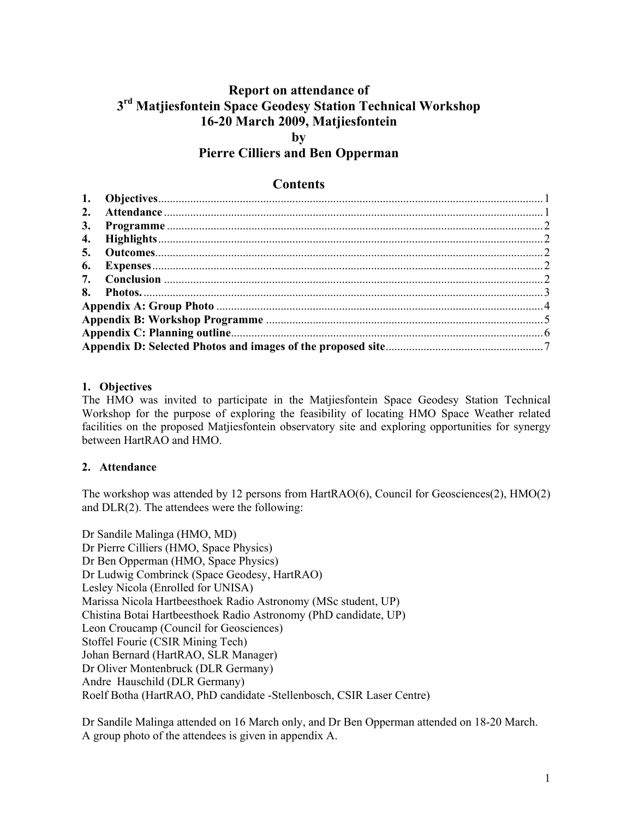# **Report on attendance of 3rd Matjiesfontein Space Geodesy Station Technical Workshop 16-20 March 2009, Matjiesfontein by**

# **Pierre Cilliers and Ben Opperman**

## **Contents**

| 4. |  |  |  |  |  |
|----|--|--|--|--|--|
| 5. |  |  |  |  |  |
|    |  |  |  |  |  |
|    |  |  |  |  |  |
|    |  |  |  |  |  |
|    |  |  |  |  |  |
|    |  |  |  |  |  |
|    |  |  |  |  |  |
|    |  |  |  |  |  |

## **1. Objectives**

The HMO was invited to participate in the Matjiesfontein Space Geodesy Station Technical Workshop for the purpose of exploring the feasibility of locating HMO Space Weather related facilities on the proposed Matjiesfontein observatory site and exploring opportunities for synergy between HartRAO and HMO.

## **2. Attendance**

The workshop was attended by 12 persons from HartRAO(6), Council for Geosciences(2), HMO(2) and DLR(2). The attendees were the following:

Dr Sandile Malinga (HMO, MD) Dr Pierre Cilliers (HMO, Space Physics) Dr Ben Opperman (HMO, Space Physics) Dr Ludwig Combrinck (Space Geodesy, HartRAO) Lesley Nicola (Enrolled for UNISA) Marissa Nicola Hartbeesthoek Radio Astronomy (MSc student, UP) Chistina Botai Hartbeesthoek Radio Astronomy (PhD candidate, UP) Leon Croucamp (Council for Geosciences) Stoffel Fourie (CSIR Mining Tech) Johan Bernard (HartRAO, SLR Manager) Dr Oliver Montenbruck (DLR Germany) Andre Hauschild (DLR Germany) Roelf Botha (HartRAO, PhD candidate -Stellenbosch, CSIR Laser Centre)

Dr Sandile Malinga attended on 16 March only, and Dr Ben Opperman attended on 18-20 March. A group photo of the attendees is given in appendix A.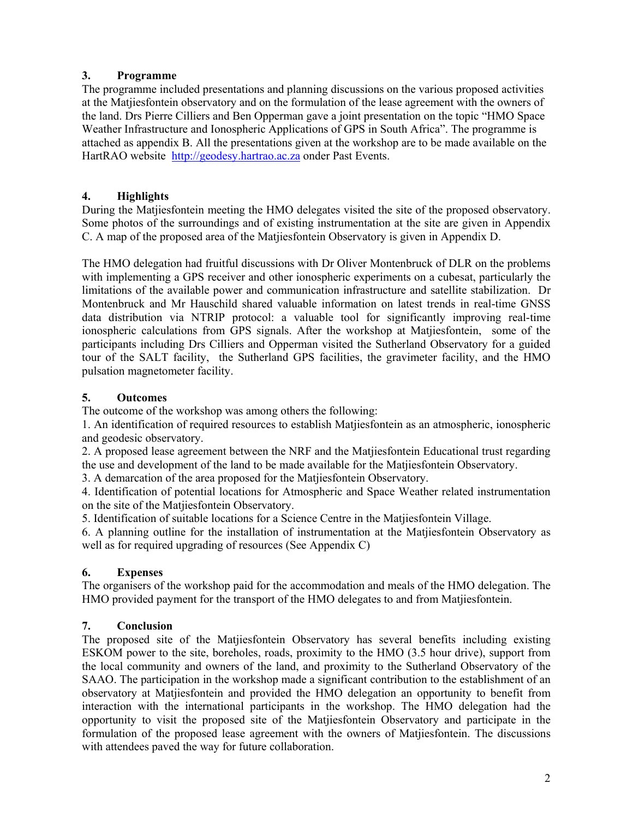## **3. Programme**

The programme included presentations and planning discussions on the various proposed activities at the Matjiesfontein observatory and on the formulation of the lease agreement with the owners of the land. Drs Pierre Cilliers and Ben Opperman gave a joint presentation on the topic "HMO Space Weather Infrastructure and Ionospheric Applications of GPS in South Africa". The programme is attached as appendix B. All the presentations given at the workshop are to be made available on the HartRAO website http://geodesy.hartrao.ac.za onder Past Events.

## **4. Highlights**

During the Matjiesfontein meeting the HMO delegates visited the site of the proposed observatory. Some photos of the surroundings and of existing instrumentation at the site are given in Appendix C. A map of the proposed area of the Matjiesfontein Observatory is given in Appendix D.

The HMO delegation had fruitful discussions with Dr Oliver Montenbruck of DLR on the problems with implementing a GPS receiver and other ionospheric experiments on a cubesat, particularly the limitations of the available power and communication infrastructure and satellite stabilization. Dr Montenbruck and Mr Hauschild shared valuable information on latest trends in real-time GNSS data distribution via NTRIP protocol: a valuable tool for significantly improving real-time ionospheric calculations from GPS signals. After the workshop at Matjiesfontein, some of the participants including Drs Cilliers and Opperman visited the Sutherland Observatory for a guided tour of the SALT facility, the Sutherland GPS facilities, the gravimeter facility, and the HMO pulsation magnetometer facility.

## **5. Outcomes**

The outcome of the workshop was among others the following:

1. An identification of required resources to establish Matjiesfontein as an atmospheric, ionospheric and geodesic observatory.

2. A proposed lease agreement between the NRF and the Matjiesfontein Educational trust regarding the use and development of the land to be made available for the Matjiesfontein Observatory.

3. A demarcation of the area proposed for the Matjiesfontein Observatory.

4. Identification of potential locations for Atmospheric and Space Weather related instrumentation on the site of the Matjiesfontein Observatory.

5. Identification of suitable locations for a Science Centre in the Matjiesfontein Village.

6. A planning outline for the installation of instrumentation at the Matjiesfontein Observatory as well as for required upgrading of resources (See Appendix C)

## **6. Expenses**

The organisers of the workshop paid for the accommodation and meals of the HMO delegation. The HMO provided payment for the transport of the HMO delegates to and from Matjiesfontein.

## **7. Conclusion**

The proposed site of the Matjiesfontein Observatory has several benefits including existing ESKOM power to the site, boreholes, roads, proximity to the HMO (3.5 hour drive), support from the local community and owners of the land, and proximity to the Sutherland Observatory of the SAAO. The participation in the workshop made a significant contribution to the establishment of an observatory at Matjiesfontein and provided the HMO delegation an opportunity to benefit from interaction with the international participants in the workshop. The HMO delegation had the opportunity to visit the proposed site of the Matjiesfontein Observatory and participate in the formulation of the proposed lease agreement with the owners of Matjiesfontein. The discussions with attendees paved the way for future collaboration.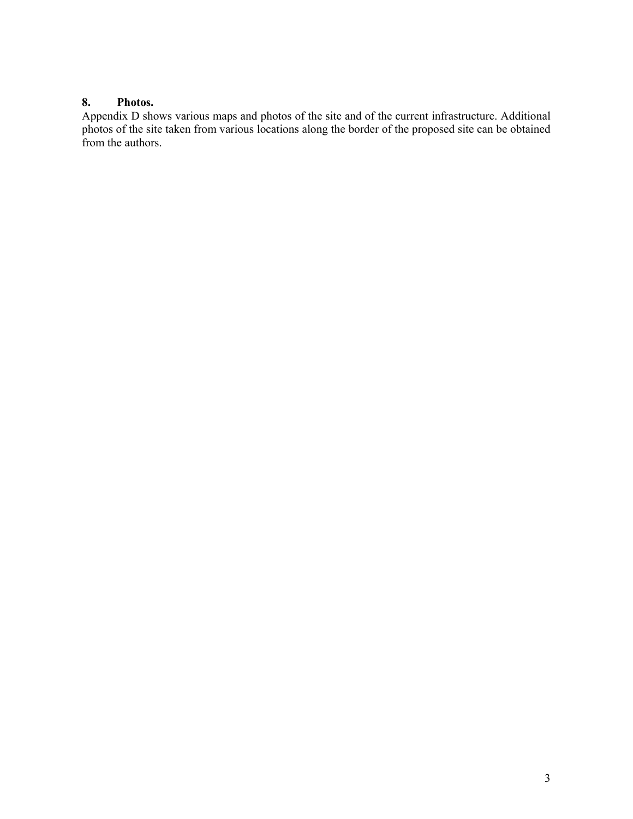## **8. Photos.**

Appendix D shows various maps and photos of the site and of the current infrastructure. Additional photos of the site taken from various locations along the border of the proposed site can be obtained from the authors.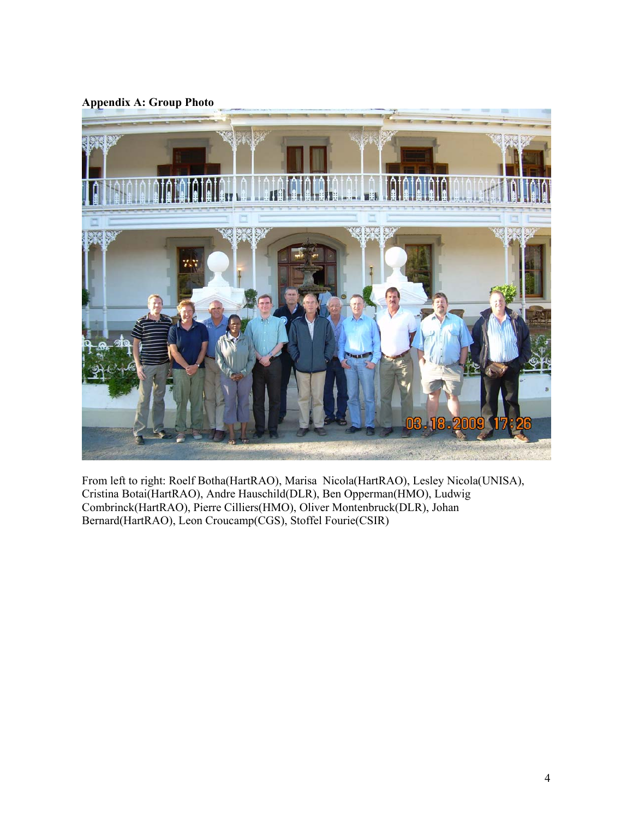**Appendix A: Group Photo** 



From left to right: Roelf Botha(HartRAO), Marisa Nicola(HartRAO), Lesley Nicola(UNISA), Cristina Botai(HartRAO), Andre Hauschild(DLR), Ben Opperman(HMO), Ludwig Combrinck(HartRAO), Pierre Cilliers(HMO), Oliver Montenbruck(DLR), Johan Bernard(HartRAO), Leon Croucamp(CGS), Stoffel Fourie(CSIR)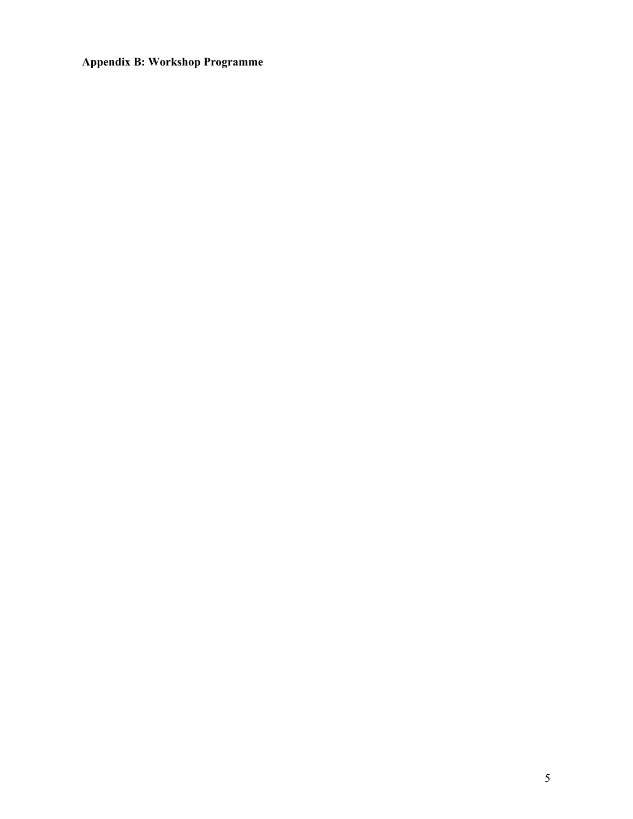**Appendix B: Workshop Programme**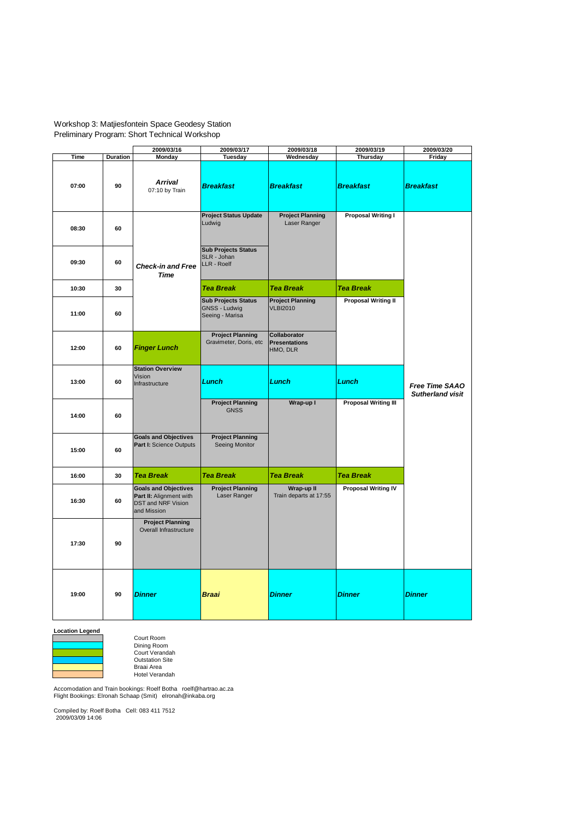#### Workshop 3: Matjiesfontein Space Geodesy Station Preliminary Program: Short Technical Workshop

|       |          | 2009/03/16                                                                                         | 2009/03/17                                                     | 2009/03/18                                       | 2009/03/19                  | 2009/03/20                                       |
|-------|----------|----------------------------------------------------------------------------------------------------|----------------------------------------------------------------|--------------------------------------------------|-----------------------------|--------------------------------------------------|
| Time  | Duration | Monday                                                                                             | Tuesday                                                        | Wednesday                                        | <b>Thursday</b>             | Friday                                           |
| 07:00 | 90       | Arrival<br>07:10 by Train                                                                          | <b>Breakfast</b>                                               | <b>Breakfast</b>                                 | <b>Breakfast</b>            | <b>Breakfast</b>                                 |
| 08:30 | 60       | <b>Check-in and Free</b><br><b>Time</b>                                                            | <b>Project Status Update</b><br>Ludwig                         | <b>Project Planning</b><br>Laser Ranger          | <b>Proposal Writing I</b>   |                                                  |
| 09:30 | 60       |                                                                                                    | <b>Sub Projects Status</b><br>SLR - Johan<br>LLR - Roelf       |                                                  |                             |                                                  |
| 10:30 | 30       |                                                                                                    | <b>Tea Break</b>                                               | <b>Tea Break</b>                                 | <b>Tea Break</b>            |                                                  |
| 11:00 | 60       |                                                                                                    | <b>Sub Projects Status</b><br>GNSS - Ludwig<br>Seeing - Marisa | <b>Project Planning</b><br><b>VLBI2010</b>       | <b>Proposal Writing II</b>  |                                                  |
| 12:00 | 60       | <b>Finger Lunch</b>                                                                                | <b>Project Planning</b><br>Gravimeter, Doris, etc              | Collaborator<br><b>Presentations</b><br>HMO, DLR |                             |                                                  |
| 13:00 | 60       | <b>Station Overview</b><br>Vision<br>Infrastructure                                                | Lunch                                                          | Lunch                                            | Lunch                       | <b>Free Time SAAO</b><br><b>Sutherland visit</b> |
| 14:00 | 60       |                                                                                                    | <b>Project Planning</b><br><b>GNSS</b>                         | Wrap-up I                                        | <b>Proposal Writing III</b> |                                                  |
| 15:00 | 60       | <b>Goals and Objectives</b><br>Part I: Science Outputs                                             | <b>Project Planning</b><br>Seeing Monitor                      |                                                  |                             |                                                  |
| 16:00 | 30       | <b>Tea Break</b>                                                                                   | <b>Tea Break</b>                                               | <b>Tea Break</b>                                 | <b>Tea Break</b>            |                                                  |
| 16:30 | 60       | <b>Goals and Objectives</b><br>Part II: Alignment with<br><b>DST and NRF Vision</b><br>and Mission | <b>Project Planning</b><br>Laser Ranger                        | Wrap-up II<br>Train departs at 17:55             | <b>Proposal Writing IV</b>  |                                                  |
| 17:30 | 90       | <b>Project Planning</b><br>Overall Infrastructure                                                  |                                                                |                                                  |                             |                                                  |
| 19:00 | 90       | Dinner                                                                                             | <b>Braai</b>                                                   | <b>Dinner</b>                                    | Dinner                      | <b>Dinner</b>                                    |

**Location Legend**



Court Room Dining Room Court Verandah Outstation Site Braai Area Hotel Verandah

Accomodation and Train bookings: Roelf Botha roelf@hartrao.ac.za Flight Bookings: Elronah Schaap (Smit) elronah@inkaba.org

Compiled by: Roelf Botha Cell: 083 411 7512 2009/03/09 14:06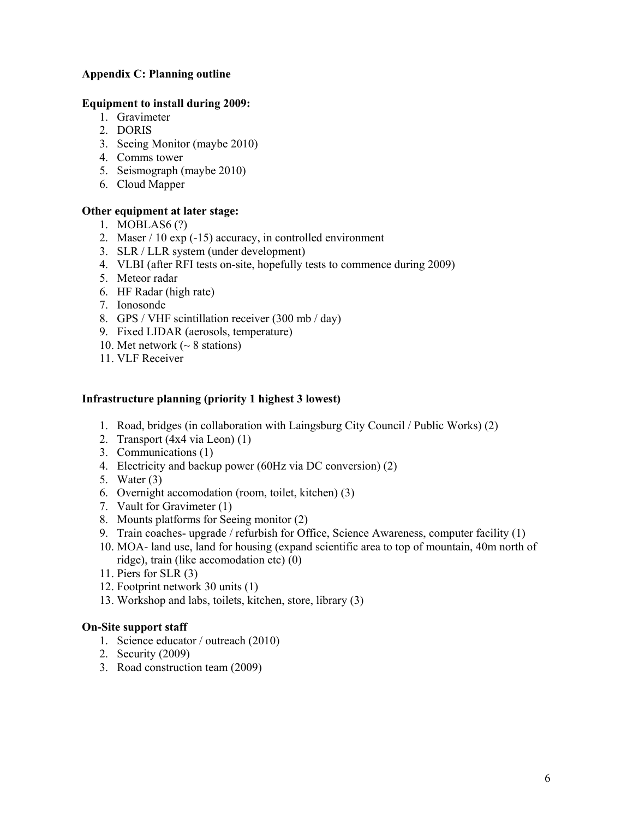## **Appendix C: Planning outline**

#### **Equipment to install during 2009:**

- 1. Gravimeter
- 2. DORIS
- 3. Seeing Monitor (maybe 2010)
- 4. Comms tower
- 5. Seismograph (maybe 2010)
- 6. Cloud Mapper

## **Other equipment at later stage:**

- 1. MOBLAS6 (?)
- 2. Maser / 10 exp (-15) accuracy, in controlled environment
- 3. SLR / LLR system (under development)
- 4. VLBI (after RFI tests on-site, hopefully tests to commence during 2009)
- 5. Meteor radar
- 6. HF Radar (high rate)
- 7. Ionosonde
- 8. GPS / VHF scintillation receiver (300 mb / day)
- 9. Fixed LIDAR (aerosols, temperature)
- 10. Met network ( $\sim$  8 stations)
- 11. VLF Receiver

## **Infrastructure planning (priority 1 highest 3 lowest)**

- 1. Road, bridges (in collaboration with Laingsburg City Council / Public Works) (2)
- 2. Transport (4x4 via Leon) (1)
- 3. Communications (1)
- 4. Electricity and backup power (60Hz via DC conversion) (2)
- 5. Water (3)
- 6. Overnight accomodation (room, toilet, kitchen) (3)
- 7. Vault for Gravimeter (1)
- 8. Mounts platforms for Seeing monitor (2)
- 9. Train coaches- upgrade / refurbish for Office, Science Awareness, computer facility (1)
- 10. MOA- land use, land for housing (expand scientific area to top of mountain, 40m north of ridge), train (like accomodation etc) (0)
- 11. Piers for SLR (3)
- 12. Footprint network 30 units (1)
- 13. Workshop and labs, toilets, kitchen, store, library (3)

## **On-Site support staff**

- 1. Science educator / outreach (2010)
- 2. Security (2009)
- 3. Road construction team (2009)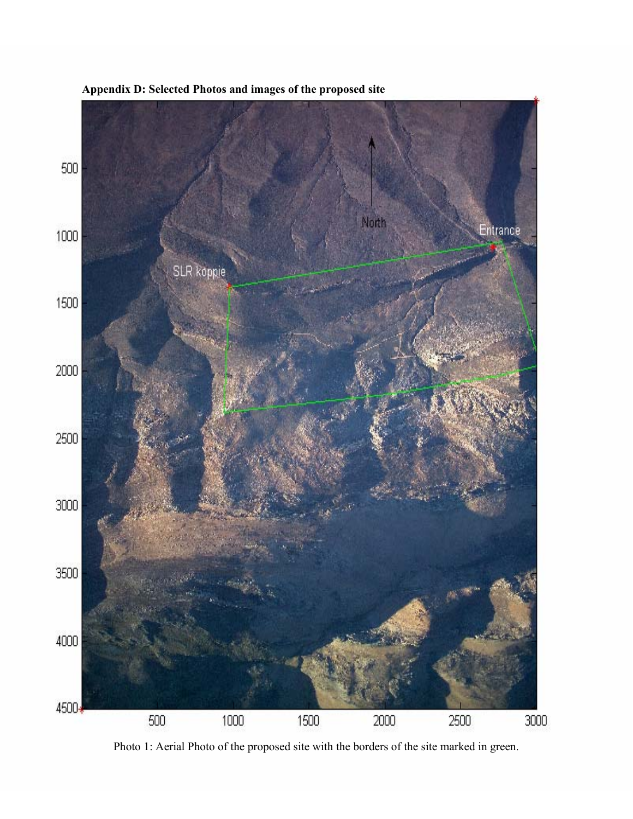

**Appendix D: Selected Photos and images of the proposed site** 

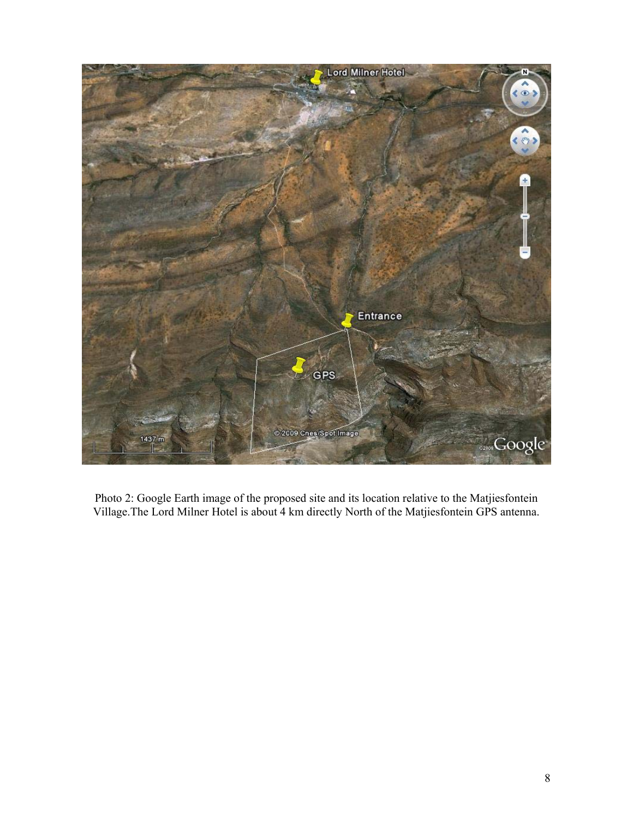

Photo 2: Google Earth image of the proposed site and its location relative to the Matjiesfontein Village.The Lord Milner Hotel is about 4 km directly North of the Matjiesfontein GPS antenna.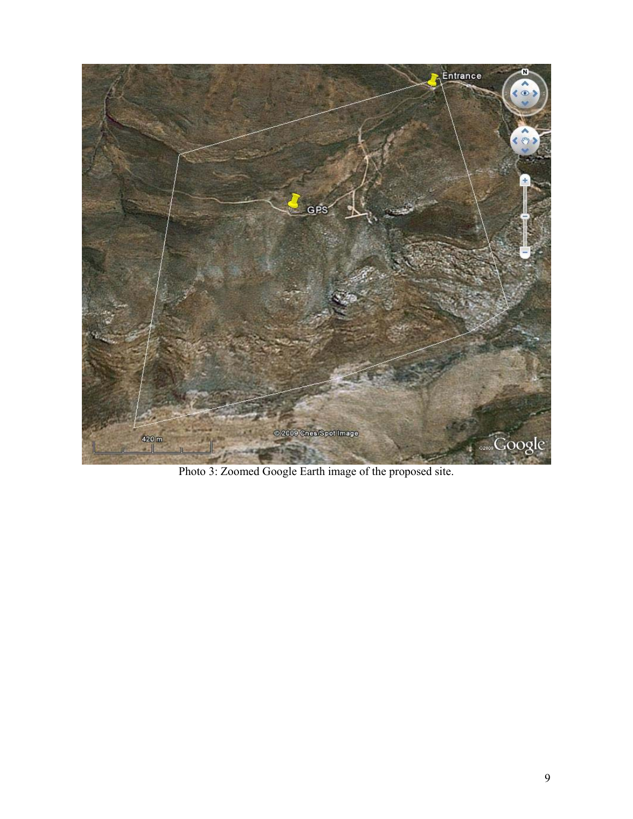

Photo 3: Zoomed Google Earth image of the proposed site.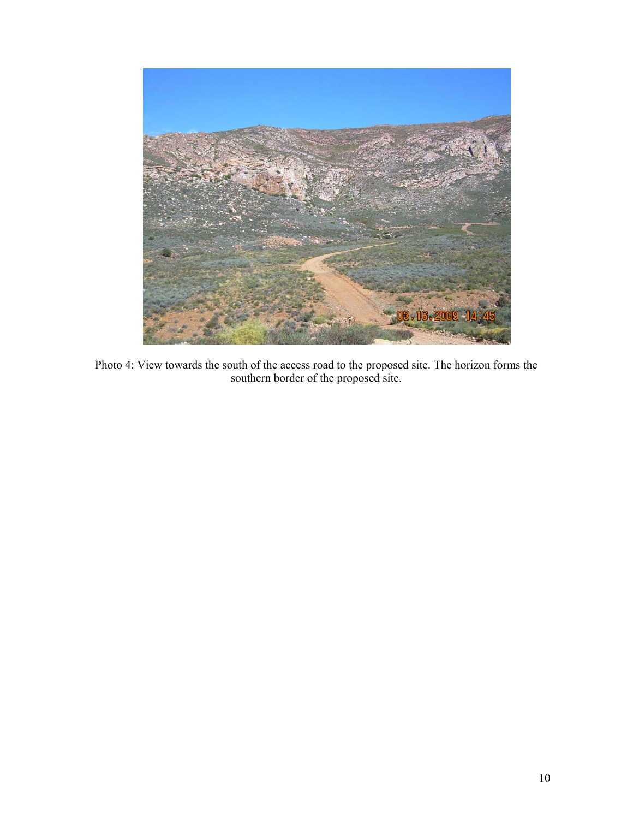

Photo 4: View towards the south of the access road to the proposed site. The horizon forms the southern border of the proposed site.